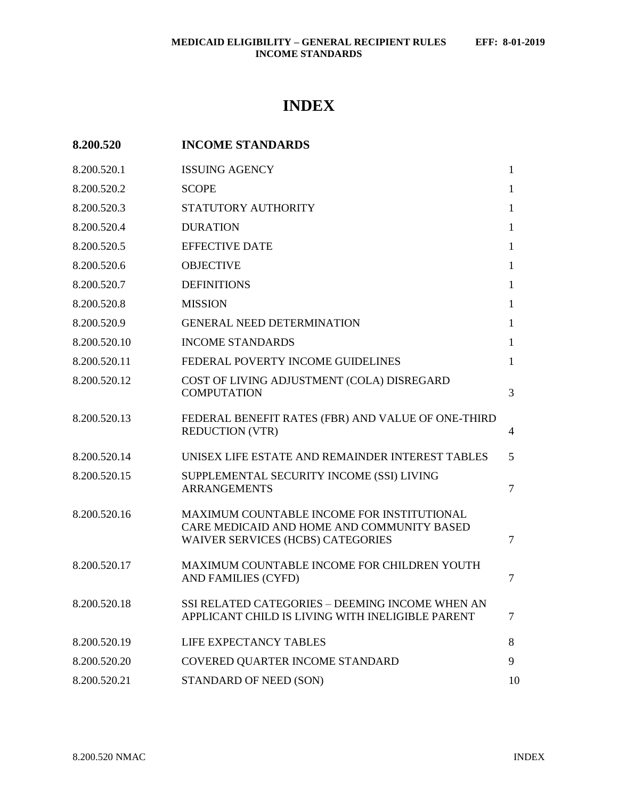# **INDEX**

| 8.200.520    | <b>INCOME STANDARDS</b>                                                                                                              |                |
|--------------|--------------------------------------------------------------------------------------------------------------------------------------|----------------|
| 8.200.520.1  | <b>ISSUING AGENCY</b>                                                                                                                | $\mathbf{1}$   |
| 8.200.520.2  | <b>SCOPE</b>                                                                                                                         | $\mathbf{1}$   |
| 8.200.520.3  | STATUTORY AUTHORITY                                                                                                                  | $\mathbf{1}$   |
| 8.200.520.4  | <b>DURATION</b>                                                                                                                      | $\mathbf{1}$   |
| 8.200.520.5  | <b>EFFECTIVE DATE</b>                                                                                                                | $\mathbf{1}$   |
| 8.200.520.6  | <b>OBJECTIVE</b>                                                                                                                     | $\mathbf{1}$   |
| 8.200.520.7  | <b>DEFINITIONS</b>                                                                                                                   | $\mathbf{1}$   |
| 8.200.520.8  | <b>MISSION</b>                                                                                                                       | $\mathbf{1}$   |
| 8.200.520.9  | <b>GENERAL NEED DETERMINATION</b>                                                                                                    | $\mathbf{1}$   |
| 8.200.520.10 | <b>INCOME STANDARDS</b>                                                                                                              | $\mathbf{1}$   |
| 8.200.520.11 | FEDERAL POVERTY INCOME GUIDELINES                                                                                                    | $\mathbf{1}$   |
| 8.200.520.12 | COST OF LIVING ADJUSTMENT (COLA) DISREGARD<br><b>COMPUTATION</b>                                                                     | 3              |
| 8.200.520.13 | FEDERAL BENEFIT RATES (FBR) AND VALUE OF ONE-THIRD<br><b>REDUCTION (VTR)</b>                                                         | 4              |
| 8.200.520.14 | UNISEX LIFE ESTATE AND REMAINDER INTEREST TABLES                                                                                     | 5              |
| 8.200.520.15 | SUPPLEMENTAL SECURITY INCOME (SSI) LIVING<br><b>ARRANGEMENTS</b>                                                                     | $\overline{7}$ |
| 8.200.520.16 | MAXIMUM COUNTABLE INCOME FOR INSTITUTIONAL<br>CARE MEDICAID AND HOME AND COMMUNITY BASED<br><b>WAIVER SERVICES (HCBS) CATEGORIES</b> | $\overline{7}$ |
| 8.200.520.17 | MAXIMUM COUNTABLE INCOME FOR CHILDREN YOUTH<br>AND FAMILIES (CYFD)                                                                   | 7              |
| 8.200.520.18 | SSI RELATED CATEGORIES - DEEMING INCOME WHEN AN<br>APPLICANT CHILD IS LIVING WITH INELIGIBLE PARENT                                  | 7              |
| 8.200.520.19 | LIFE EXPECTANCY TABLES                                                                                                               | 8              |
| 8.200.520.20 | COVERED QUARTER INCOME STANDARD                                                                                                      | 9              |
| 8.200.520.21 | STANDARD OF NEED (SON)                                                                                                               | 10             |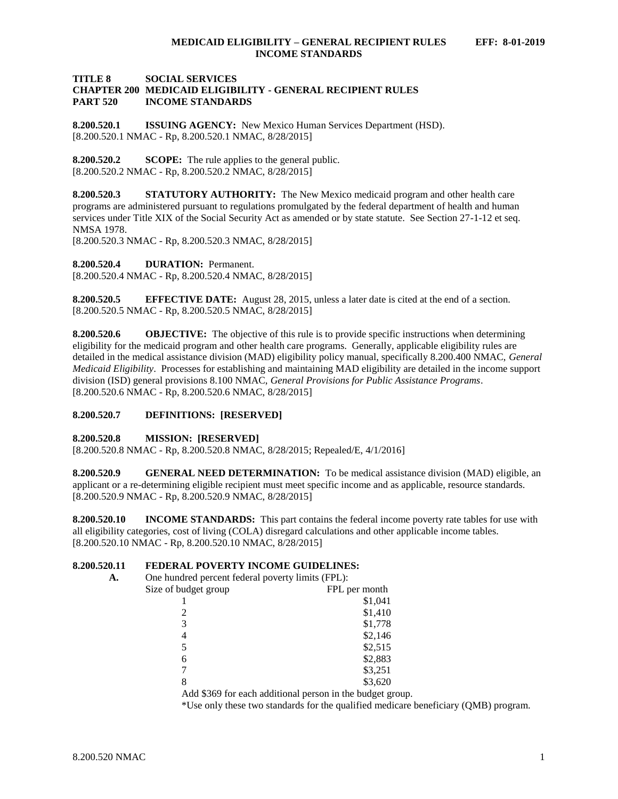### **TITLE 8 SOCIAL SERVICES CHAPTER 200 MEDICAID ELIGIBILITY - GENERAL RECIPIENT RULES PART 520 INCOME STANDARDS**

<span id="page-1-0"></span>**8.200.520.1 ISSUING AGENCY:** New Mexico Human Services Department (HSD). [8.200.520.1 NMAC - Rp, 8.200.520.1 NMAC, 8/28/2015]

<span id="page-1-1"></span>**8.200.520.2 SCOPE:** The rule applies to the general public. [8.200.520.2 NMAC - Rp, 8.200.520.2 NMAC, 8/28/2015]

<span id="page-1-2"></span>**8.200.520.3 STATUTORY AUTHORITY:** The New Mexico medicaid program and other health care programs are administered pursuant to regulations promulgated by the federal department of health and human services under Title XIX of the Social Security Act as amended or by state statute. See Section 27-1-12 et seq. NMSA 1978.

[8.200.520.3 NMAC - Rp, 8.200.520.3 NMAC, 8/28/2015]

<span id="page-1-3"></span>**8.200.520.4 DURATION:** Permanent.

[8.200.520.4 NMAC - Rp, 8.200.520.4 NMAC, 8/28/2015]

<span id="page-1-4"></span>**8.200.520.5 EFFECTIVE DATE:** August 28, 2015, unless a later date is cited at the end of a section. [8.200.520.5 NMAC - Rp, 8.200.520.5 NMAC, 8/28/2015]

<span id="page-1-5"></span>**8.200.520.6 OBJECTIVE:** The objective of this rule is to provide specific instructions when determining eligibility for the medicaid program and other health care programs. Generally, applicable eligibility rules are detailed in the medical assistance division (MAD) eligibility policy manual, specifically 8.200.400 NMAC, *General Medicaid Eligibility*. Processes for establishing and maintaining MAD eligibility are detailed in the income support division (ISD) general provisions 8.100 NMAC, *General Provisions for Public Assistance Programs*. [8.200.520.6 NMAC - Rp, 8.200.520.6 NMAC, 8/28/2015]

# <span id="page-1-6"></span>**8.200.520.7 DEFINITIONS: [RESERVED]**

# <span id="page-1-7"></span>**8.200.520.8 MISSION: [RESERVED]**

[8.200.520.8 NMAC - Rp, 8.200.520.8 NMAC, 8/28/2015; Repealed/E, 4/1/2016]

<span id="page-1-8"></span>**8.200.520.9 GENERAL NEED DETERMINATION:** To be medical assistance division (MAD) eligible, an applicant or a re-determining eligible recipient must meet specific income and as applicable, resource standards. [8.200.520.9 NMAC - Rp, 8.200.520.9 NMAC, 8/28/2015]

<span id="page-1-9"></span>**8.200.520.10 INCOME STANDARDS:** This part contains the federal income poverty rate tables for use with all eligibility categories, cost of living (COLA) disregard calculations and other applicable income tables. [8.200.520.10 NMAC - Rp, 8.200.520.10 NMAC, 8/28/2015]

# <span id="page-1-10"></span>**8.200.520.11 FEDERAL POVERTY INCOME GUIDELINES:**

| А. | One hundred percent federal poverty limits (FPL): |                                                           |  |
|----|---------------------------------------------------|-----------------------------------------------------------|--|
|    | Size of budget group                              | FPL per month                                             |  |
|    |                                                   | \$1,041                                                   |  |
|    |                                                   | \$1,410                                                   |  |
|    | 3                                                 | \$1,778                                                   |  |
|    | $\overline{4}$                                    | \$2,146                                                   |  |
|    | 5                                                 | \$2,515                                                   |  |
|    | 6                                                 | \$2,883                                                   |  |
|    |                                                   | \$3,251                                                   |  |
|    | 8                                                 | \$3,620                                                   |  |
|    |                                                   | Add \$369 for each additional person in the budget group. |  |

\*Use only these two standards for the qualified medicare beneficiary (QMB) program.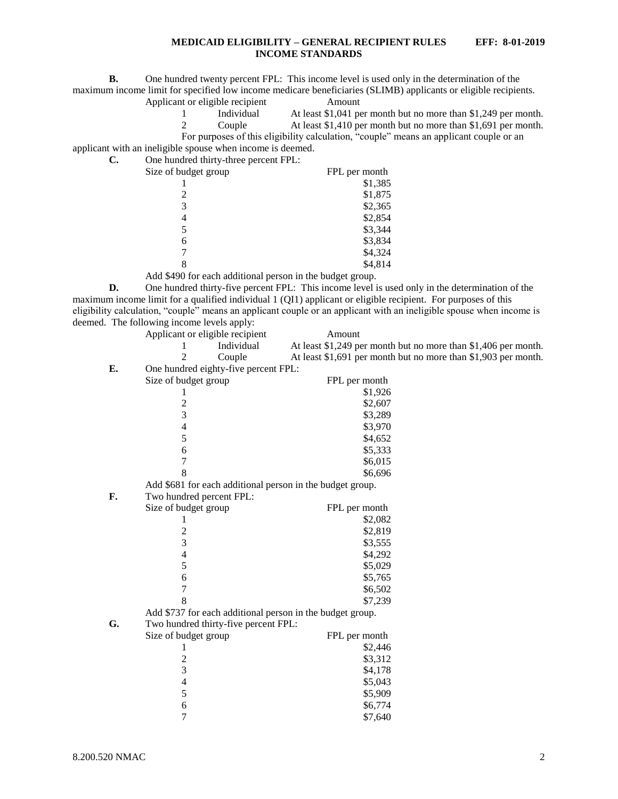**B.** One hundred twenty percent FPL: This income level is used only in the determination of the maximum income limit for specified low income medicare beneficiaries (SLIMB) applicants or eligible recipients.

Applicant or eligible recipient Amount

1 Individual At least \$1,041 per month but no more than \$1,249 per month.

2 Couple At least \$1,410 per month but no more than \$1,691 per month.

applicant with an ineligible spouse when income is deemed. **C.** One hundred thirty-three percent FPL:

| $\sigma$ one handled three $\mu$ and $\sigma$ percent $\sigma$ is $\sigma$ . |               |
|------------------------------------------------------------------------------|---------------|
| Size of budget group                                                         | FPL per month |
|                                                                              | \$1,385       |
|                                                                              | \$1,875       |
| 3                                                                            | \$2,365       |
| 4                                                                            | \$2,854       |
| 5                                                                            | \$3,344       |
| 6                                                                            | \$3,834       |
|                                                                              | \$4,324       |
|                                                                              | \$4,814       |
| .                                                                            |               |

Add \$490 for each additional person in the budget group.

**D.** One hundred thirty-five percent FPL: This income level is used only in the determination of the maximum income limit for a qualified individual 1 (QI1) applicant or eligible recipient. For purposes of this eligibility calculation, "couple" means an applicant couple or an applicant with an ineligible spouse when income is deemed. The following income levels apply:

|    | Applicant or eligible recipient                           | Amount                                                         |
|----|-----------------------------------------------------------|----------------------------------------------------------------|
|    | Individual                                                | At least \$1,249 per month but no more than \$1,406 per month. |
|    | 2<br>Couple                                               | At least \$1,691 per month but no more than \$1,903 per month. |
| E. | One hundred eighty-five percent FPL:                      |                                                                |
|    | Size of budget group                                      | FPL per month                                                  |
|    | 1                                                         | \$1,926                                                        |
|    |                                                           | \$2,607                                                        |
|    | $\frac{2}{3}$                                             | \$3,289                                                        |
|    | $\overline{\mathcal{L}}$                                  | \$3,970                                                        |
|    | 5                                                         | \$4,652                                                        |
|    | 6                                                         | \$5,333                                                        |
|    | 7                                                         | \$6,015                                                        |
|    | 8                                                         | \$6,696                                                        |
|    | Add \$681 for each additional person in the budget group. |                                                                |
| F. | Two hundred percent FPL:                                  |                                                                |
|    | Size of budget group                                      | FPL per month                                                  |
|    | 1                                                         | \$2,082                                                        |
|    | $\overline{c}$                                            | \$2,819                                                        |
|    | 3                                                         | \$3,555                                                        |
|    | $\overline{\mathcal{L}}$                                  | \$4,292                                                        |
|    | 5                                                         | \$5,029                                                        |
|    | 6                                                         | \$5,765                                                        |
|    | $\overline{7}$                                            | \$6,502                                                        |
|    | 8                                                         | \$7,239                                                        |
|    | Add \$737 for each additional person in the budget group. |                                                                |
| G. | Two hundred thirty-five percent FPL:                      |                                                                |
|    | Size of budget group                                      | FPL per month                                                  |
|    | 1                                                         | \$2,446                                                        |
|    | $\overline{c}$                                            | \$3,312                                                        |
|    | 3                                                         | \$4,178                                                        |
|    | $\overline{\mathcal{L}}$                                  | \$5,043                                                        |
|    | 5                                                         | \$5,909                                                        |
|    | $\sqrt{6}$                                                | \$6,774                                                        |
|    | $\overline{7}$                                            | \$7,640                                                        |

For purposes of this eligibility calculation, "couple" means an applicant couple or an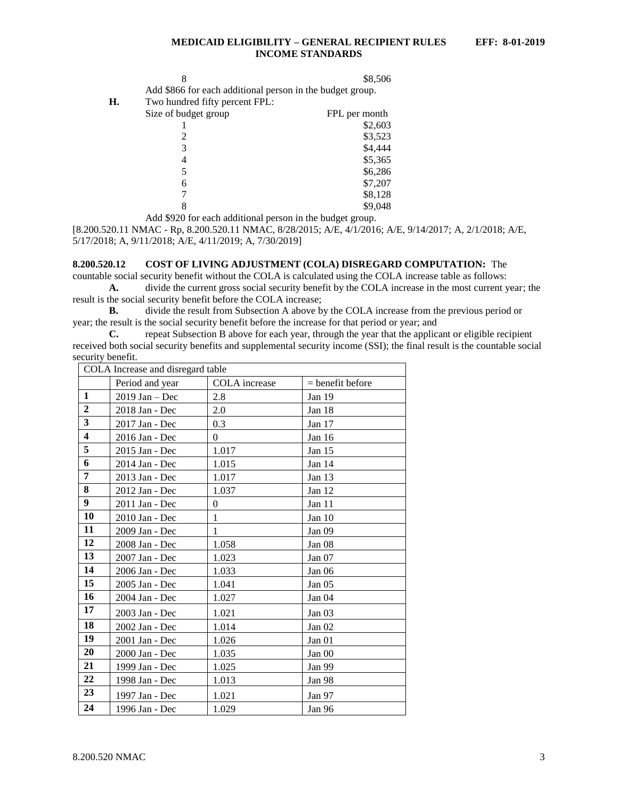|    |                                                           | \$8,506       |
|----|-----------------------------------------------------------|---------------|
|    | Add \$866 for each additional person in the budget group. |               |
| Н. | Two hundred fifty percent FPL:                            |               |
|    | Size of budget group                                      | FPL per month |
|    |                                                           | \$2603        |

|   | \$2,603 |
|---|---------|
| 2 | \$3,523 |
| 3 | \$4,444 |
| 4 | \$5,365 |
| 5 | \$6,286 |
| 6 | \$7,207 |
| 7 | \$8,128 |
| 8 | \$9,048 |

Add \$920 for each additional person in the budget group.

[8.200.520.11 NMAC - Rp, 8.200.520.11 NMAC, 8/28/2015; A/E, 4/1/2016; A/E, 9/14/2017; A, 2/1/2018; A/E, 5/17/2018; A, 9/11/2018; A/E, 4/11/2019; A, 7/30/2019]

### <span id="page-3-0"></span>**8.200.520.12 COST OF LIVING ADJUSTMENT (COLA) DISREGARD COMPUTATION:** The

countable social security benefit without the COLA is calculated using the COLA increase table as follows: **A.** divide the current gross social security benefit by the COLA increase in the most current year; the result is the social security benefit before the COLA increase;

**B.** divide the result from Subsection A above by the COLA increase from the previous period or year; the result is the social security benefit before the increase for that period or year; and

**C.** repeat Subsection B above for each year, through the year that the applicant or eligible recipient received both social security benefits and supplemental security income (SSI); the final result is the countable social security benefit.

| COLA Increase and disregard table |                  |               |                    |  |  |  |
|-----------------------------------|------------------|---------------|--------------------|--|--|--|
|                                   | Period and year  | COLA increase | $=$ benefit before |  |  |  |
| $\mathbf{1}$                      | $2019$ Jan - Dec | 2.8           | Jan 19             |  |  |  |
| $\overline{2}$                    | 2018 Jan - Dec   | 2.0           | Jan 18             |  |  |  |
| $\overline{\mathbf{3}}$           | 2017 Jan - Dec   | 0.3           | Jan 17             |  |  |  |
| $\overline{\mathbf{4}}$           | 2016 Jan - Dec   | $\theta$      | Jan 16             |  |  |  |
| 5                                 | 2015 Jan - Dec   | 1.017         | Jan 15             |  |  |  |
| 6                                 | 2014 Jan - Dec   | 1.015         | Jan 14             |  |  |  |
| 7                                 | 2013 Jan - Dec   | 1.017         | Jan $13$           |  |  |  |
| 8                                 | 2012 Jan - Dec   | 1.037         | Jan 12             |  |  |  |
| 9                                 | 2011 Jan - Dec   | $\theta$      | Jan 11             |  |  |  |
| 10                                | 2010 Jan - Dec   | $\mathbf{1}$  | Jan 10             |  |  |  |
| 11                                | 2009 Jan - Dec   | $\mathbf{1}$  | Jan 09             |  |  |  |
| 12                                | 2008 Jan - Dec   | 1.058         | Jan 08             |  |  |  |
| 13                                | 2007 Jan - Dec   | 1.023         | Jan $07$           |  |  |  |
| 14                                | 2006 Jan - Dec   | 1.033         | Jan <sub>06</sub>  |  |  |  |
| 15                                | 2005 Jan - Dec   | 1.041         | Jan 05             |  |  |  |
| 16                                | 2004 Jan - Dec   | 1.027         | Jan 04             |  |  |  |
| 17                                | 2003 Jan - Dec   | 1.021         | Jan <sub>03</sub>  |  |  |  |
| 18                                | 2002 Jan - Dec   | 1.014         | Jan 02             |  |  |  |
| 19                                | 2001 Jan - Dec   | 1.026         | Jan 01             |  |  |  |
| 20                                | 2000 Jan - Dec   | 1.035         | Jan 00             |  |  |  |
| 21                                | 1999 Jan - Dec   | 1.025         | Jan 99             |  |  |  |
| 22                                | 1998 Jan - Dec   | 1.013         | Jan 98             |  |  |  |
| 23                                | 1997 Jan - Dec   | 1.021         | Jan 97             |  |  |  |
| 24                                | 1996 Jan - Dec   | 1.029         | Jan 96             |  |  |  |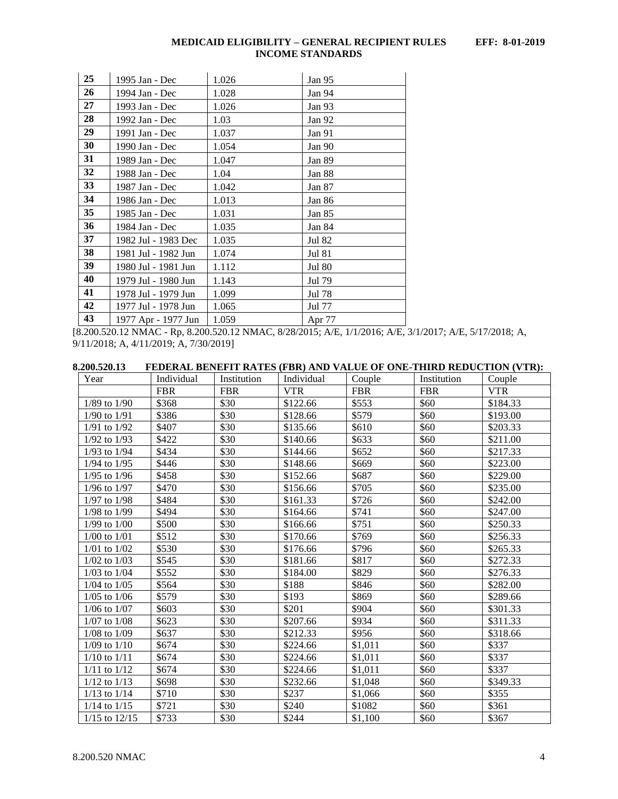| 25 | 1995 Jan - Dec      | 1.026 | Jan 95        |
|----|---------------------|-------|---------------|
| 26 | 1994 Jan - Dec      | 1.028 | Jan 94        |
| 27 | 1993 Jan - Dec      | 1.026 | Jan 93        |
| 28 | 1992 Jan - Dec      | 1.03  | Jan 92        |
| 29 | 1991 Jan - Dec      | 1.037 | Jan 91        |
| 30 | 1990 Jan - Dec      | 1.054 | Jan 90        |
| 31 | 1989 Jan - Dec      | 1.047 | Jan 89        |
| 32 | 1988 Jan - Dec      | 1.04  | Jan 88        |
| 33 | 1987 Jan - Dec      | 1.042 | Jan 87        |
| 34 | 1986 Jan - Dec      | 1.013 | Jan 86        |
| 35 | 1985 Jan - Dec      | 1.031 | Jan 85        |
| 36 | 1984 Jan - Dec      | 1.035 | Jan 84        |
| 37 | 1982 Jul - 1983 Dec | 1.035 | Jul 82        |
| 38 | 1981 Jul - 1982 Jun | 1.074 | <b>Jul 81</b> |
| 39 | 1980 Jul - 1981 Jun | 1.112 | <b>Jul 80</b> |
| 40 | 1979 Jul - 1980 Jun | 1.143 | Jul 79        |
| 41 | 1978 Jul - 1979 Jun | 1.099 | Jul 78        |
| 42 | 1977 Jul - 1978 Jun | 1.065 | Jul 77        |
| 43 | 1977 Apr - 1977 Jun | 1.059 | Apr 77        |

[8.200.520.12 NMAC - Rp, 8.200.520.12 NMAC, 8/28/2015; A/E, 1/1/2016; A/E, 3/1/2017; A/E, 5/17/2018; A, 9/11/2018; A, 4/11/2019; A, 7/30/2019]

<span id="page-4-0"></span>

| 8.200.520.13  |                  |                                                                                          | FEDERAL BENEFIT RATES (FBR) AND VALUE OF ONE-THIRD REDUCTION (VTR): |                       |                |           |
|---------------|------------------|------------------------------------------------------------------------------------------|---------------------------------------------------------------------|-----------------------|----------------|-----------|
| $\mathcal{N}$ | $L = 1: 1: 1: 1$ | $I$ <sub>n</sub> $\leftrightarrow$ $\leftrightarrow$ $\leftrightarrow$ $\leftrightarrow$ | Individual                                                          | $C_{\alpha}$ $\alpha$ | $I$ notitution | مامینه ۱۰ |

| Year              | Individual | Institution | Individual | Couple     | Institution | Couple     |
|-------------------|------------|-------------|------------|------------|-------------|------------|
|                   | <b>FBR</b> | <b>FBR</b>  | <b>VTR</b> | <b>FBR</b> | <b>FBR</b>  | <b>VTR</b> |
| $1/89$ to $1/90$  | \$368      | \$30        | \$122.66   | \$553      | \$60        | \$184.33   |
| $1/90$ to $1/91$  | \$386      | \$30        | \$128.66   | \$579      | \$60        | \$193.00   |
| $1/91$ to $1/92$  | \$407      | \$30        | \$135.66   | \$610      | \$60        | \$203.33   |
| $1/92$ to $1/93$  | \$422      | \$30        | \$140.66   | \$633      | \$60        | \$211.00   |
| $1/93$ to $1/94$  | \$434      | \$30        | \$144.66   | \$652      | \$60        | \$217.33   |
| $1/94$ to $1/95$  | \$446      | \$30        | \$148.66   | \$669      | \$60        | \$223.00   |
| $1/95$ to $1/96$  | \$458      | \$30        | \$152.66   | \$687      | \$60        | \$229.00   |
| $1/96$ to $1/97$  | \$470      | \$30        | \$156.66   | \$705      | \$60        | \$235.00   |
| $1/97$ to $1/98$  | \$484      | \$30        | \$161.33   | \$726      | \$60        | \$242.00   |
| 1/98 to 1/99      | \$494      | \$30        | \$164.66   | \$741      | \$60        | \$247.00   |
| $1/99$ to $1/00$  | \$500      | \$30        | \$166.66   | \$751      | \$60        | \$250.33   |
| $1/00$ to $1/01$  | \$512      | \$30        | \$170.66   | \$769      | \$60        | \$256.33   |
| $1/01$ to $1/02$  | \$530      | \$30        | \$176.66   | \$796      | \$60        | \$265.33   |
| $1/02$ to $1/03$  | \$545      | \$30        | \$181.66   | \$817      | \$60        | \$272.33   |
| $1/03$ to $1/04$  | \$552      | \$30        | \$184.00   | \$829      | \$60        | \$276.33   |
| $1/04$ to $1/05$  | \$564      | \$30        | \$188      | \$846      | \$60        | \$282.00   |
| $1/05$ to $1/06$  | \$579      | \$30        | \$193      | \$869      | \$60        | \$289.66   |
| $1/06$ to $1/07$  | \$603      | \$30        | \$201      | \$904      | \$60        | \$301.33   |
| $1/07$ to $1/08$  | \$623      | \$30        | \$207.66   | \$934      | \$60        | \$311.33   |
| $1/08$ to $1/09$  | \$637      | \$30        | \$212.33   | \$956      | \$60        | \$318.66   |
| $1/09$ to $1/10$  | \$674      | \$30        | \$224.66   | \$1,011    | \$60        | \$337      |
| $1/10$ to $1/11$  | \$674      | \$30        | \$224.66   | \$1,011    | \$60        | \$337      |
| $1/11$ to $1/12$  | \$674      | \$30        | \$224.66   | \$1,011    | \$60        | \$337      |
| $1/12$ to $1/13$  | \$698      | \$30        | \$232.66   | \$1,048    | \$60        | \$349.33   |
| $1/13$ to $1/14$  | \$710      | \$30        | \$237      | \$1,066    | \$60        | \$355      |
| $1/14$ to $1/15$  | \$721      | \$30        | \$240      | \$1082     | \$60        | \$361      |
| $1/15$ to $12/15$ | \$733      | \$30        | \$244      | \$1.100    | \$60        | \$367      |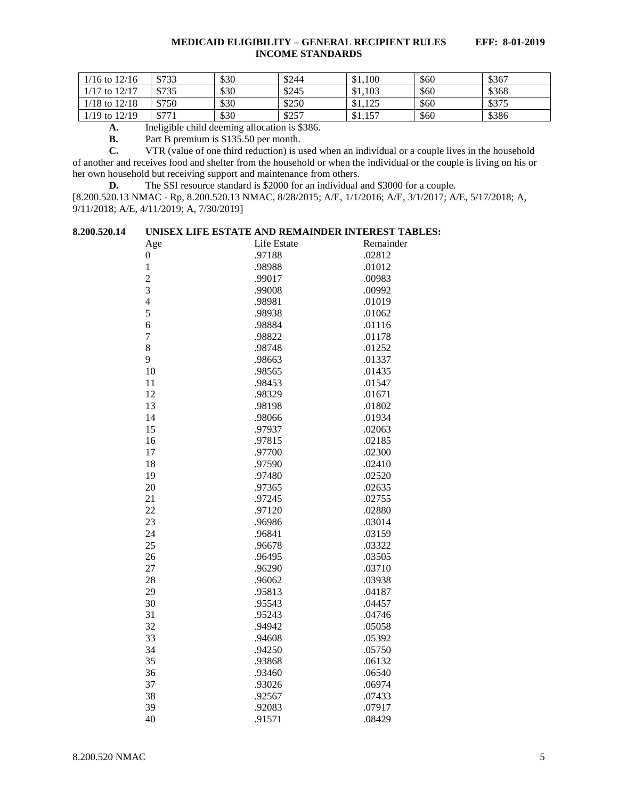| $1/16$ to $12/16$ | \$733 | \$30 | \$244 | \$1,100 | \$60 | \$367 |
|-------------------|-------|------|-------|---------|------|-------|
| $1/17$ to $12/17$ | \$735 | \$30 | \$245 | \$1,103 | \$60 | \$368 |
| $1/18$ to $12/18$ | \$750 | \$30 | \$250 | \$1,125 | \$60 | \$375 |
| $1/19$ to $12/19$ | \$771 | \$30 | \$257 | \$1,157 | \$60 | \$386 |

**A.** Ineligible child deeming allocation is \$386.

**B.** Part B premium is \$135.50 per month.<br>**C.** VTR (value of one third reduction) is u

**C.** VTR (value of one third reduction) is used when an individual or a couple lives in the household of another and receives food and shelter from the household or when the individual or the couple is living on his or her own household but receiving support and maintenance from others.

**D.** The SSI resource standard is \$2000 for an individual and \$3000 for a couple.

[8.200.520.13 NMAC - Rp, 8.200.520.13 NMAC, 8/28/2015; A/E, 1/1/2016; A/E, 3/1/2017; A/E, 5/17/2018; A, 9/11/2018; A/E, 4/11/2019; A, 7/30/2019]

# <span id="page-5-0"></span>**8.200.520.14 UNISEX LIFE ESTATE AND REMAINDER INTEREST TABLES:**

| Age              | Life Estate | Remainder |
|------------------|-------------|-----------|
| $\boldsymbol{0}$ | .97188      | .02812    |
| $\mathbf 1$      | .98988      | .01012    |
| $\overline{c}$   | .99017      | .00983    |
| 3                | .99008      | .00992    |
| $\overline{4}$   | .98981      | .01019    |
| 5                | .98938      | .01062    |
| 6                | .98884      | .01116    |
| $\overline{7}$   | .98822      | .01178    |
| 8                | .98748      | .01252    |
| 9                | .98663      | .01337    |
| 10               | .98565      | .01435    |
| 11               | .98453      | .01547    |
| 12               | .98329      | .01671    |
| 13               | .98198      | .01802    |
| 14               | .98066      | .01934    |
| 15               | .97937      | .02063    |
| 16               | .97815      | .02185    |
| 17               | .97700      | .02300    |
| 18               | .97590      | .02410    |
| 19               | .97480      | .02520    |
| 20               | .97365      | .02635    |
| 21               | .97245      | .02755    |
| 22               | .97120      | .02880    |
| 23               | .96986      | .03014    |
| 24               | .96841      | .03159    |
| 25               | .96678      | .03322    |
| 26               | .96495      | .03505    |
| 27               | .96290      | .03710    |
| 28               | .96062      | .03938    |
| 29               | .95813      | .04187    |
| 30               | .95543      | .04457    |
| 31               | .95243      | .04746    |
| 32               | .94942      | .05058    |
| 33               | .94608      | .05392    |
| 34               | .94250      | .05750    |
| 35               | .93868      | .06132    |
| 36               | .93460      | .06540    |
| 37               | .93026      | .06974    |
| 38               | .92567      | .07433    |
| 39               | .92083      | .07917    |
| 40               | .91571      | .08429    |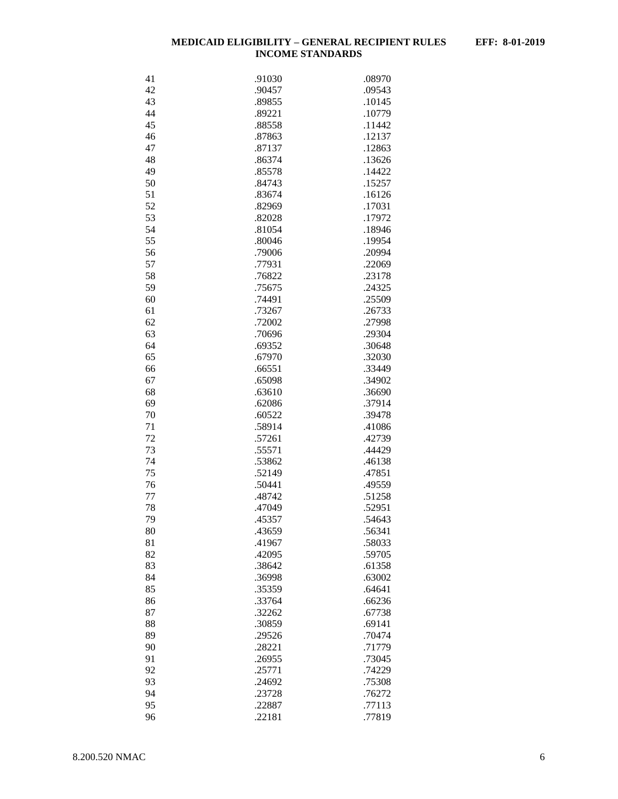| 41 | .91030 | .08970 |
|----|--------|--------|
| 42 | .90457 | .09543 |
| 43 | .89855 | .10145 |
| 44 | .89221 | .10779 |
| 45 | .88558 | .11442 |
| 46 | .87863 | .12137 |
| 47 | .87137 | .12863 |
|    |        |        |
| 48 | .86374 | .13626 |
| 49 | .85578 | .14422 |
| 50 | .84743 | .15257 |
| 51 | .83674 | .16126 |
| 52 | .82969 | .17031 |
| 53 | .82028 | .17972 |
| 54 | .81054 | .18946 |
| 55 | .80046 | .19954 |
| 56 | .79006 | .20994 |
|    |        |        |
| 57 | .77931 | .22069 |
| 58 | .76822 | .23178 |
| 59 | .75675 | .24325 |
| 60 | .74491 | .25509 |
| 61 | .73267 | .26733 |
| 62 | .72002 | .27998 |
| 63 | .70696 | .29304 |
| 64 | .69352 | .30648 |
| 65 | .67970 | .32030 |
|    |        |        |
| 66 | .66551 | .33449 |
| 67 | .65098 | .34902 |
| 68 | .63610 | .36690 |
| 69 | .62086 | .37914 |
| 70 | .60522 | .39478 |
| 71 | .58914 | .41086 |
| 72 | .57261 | .42739 |
| 73 | .55571 | .44429 |
| 74 | .53862 | .46138 |
| 75 | .52149 | .47851 |
|    |        |        |
| 76 | .50441 | .49559 |
| 77 | .48742 | .51258 |
| 78 | .47049 | .52951 |
| 79 | .45357 | .54643 |
| 80 | .43659 | .56341 |
| 81 | .41967 | .58033 |
| 82 | .42095 | .59705 |
| 83 | .38642 | .61358 |
| 84 | .36998 | .63002 |
| 85 | .35359 | .64641 |
|    |        |        |
| 86 | .33764 | .66236 |
| 87 | .32262 | .67738 |
| 88 | .30859 | .69141 |
| 89 | .29526 | .70474 |
| 90 | .28221 | .71779 |
| 91 | .26955 | .73045 |
| 92 | .25771 | .74229 |
| 93 | .24692 | .75308 |
| 94 |        | .76272 |
|    | .23728 |        |
| 95 | .22887 | .77113 |
| 96 | .22181 | .77819 |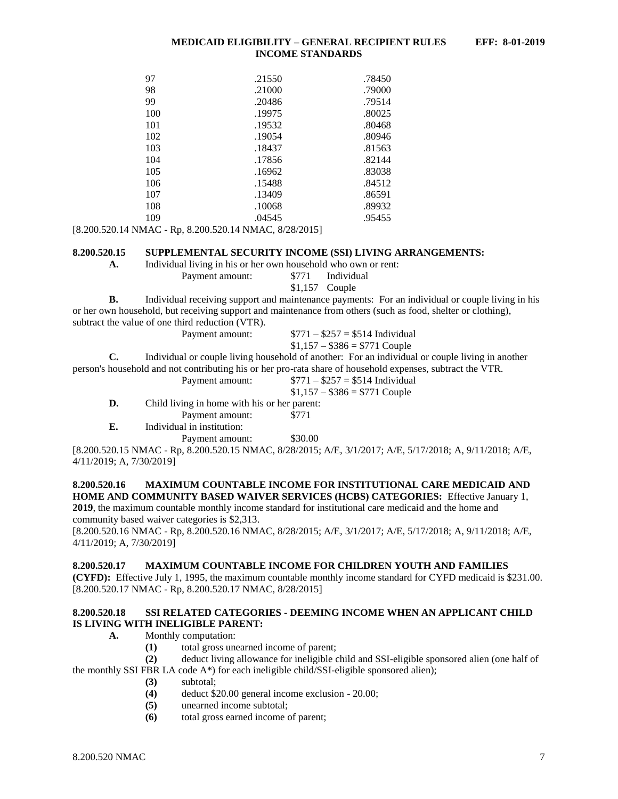| 97  | .21550 | .78450 |
|-----|--------|--------|
| 98  | .21000 | .79000 |
| 99  | .20486 | .79514 |
| 100 | .19975 | .80025 |
| 101 | .19532 | .80468 |
| 102 | .19054 | .80946 |
| 103 | .18437 | .81563 |
| 104 | .17856 | .82144 |
| 105 | .16962 | .83038 |
| 106 | .15488 | .84512 |
| 107 | .13409 | .86591 |
| 108 | .10068 | .89932 |
| 109 | .04545 | .95455 |

[8.200.520.14 NMAC - Rp, 8.200.520.14 NMAC, 8/28/2015]

#### <span id="page-7-0"></span>**8.200.520.15 SUPPLEMENTAL SECURITY INCOME (SSI) LIVING ARRANGEMENTS:**

**A.** Individual living in his or her own household who own or rent:

Payment amount: \$771 Individual \$1,157 Couple

**B.** Individual receiving support and maintenance payments: For an individual or couple living in his or her own household, but receiving support and maintenance from others (such as food, shelter or clothing), subtract the value of one third reduction (VTR).

 $$1,157 - $386 = $771$  Couple **C.** Individual or couple living household of another: For an individual or couple living in another person's household and not contributing his or her pro-rata share of household expenses, subtract the VTR.

Payment amount:  $$771 - $257 = $514$  Individual

- Payment amount:  $$771 $257 = $514$  Individual  $$1,157 - $386 = $771$  Couple
- **D.** Child living in home with his or her parent:

Payment amount: \$771

**E.** Individual in institution:

Payment amount: \$30.00

[8.200.520.15 NMAC - Rp, 8.200.520.15 NMAC, 8/28/2015; A/E, 3/1/2017; A/E, 5/17/2018; A, 9/11/2018; A/E, 4/11/2019; A, 7/30/2019]

# <span id="page-7-1"></span>**8.200.520.16 MAXIMUM COUNTABLE INCOME FOR INSTITUTIONAL CARE MEDICAID AND HOME AND COMMUNITY BASED WAIVER SERVICES (HCBS) CATEGORIES:** Effective January 1,

**2019**, the maximum countable monthly income standard for institutional care medicaid and the home and community based waiver categories is \$2,313.

[8.200.520.16 NMAC - Rp, 8.200.520.16 NMAC, 8/28/2015; A/E, 3/1/2017; A/E, 5/17/2018; A, 9/11/2018; A/E, 4/11/2019; A, 7/30/2019]

# <span id="page-7-2"></span>**8.200.520.17 MAXIMUM COUNTABLE INCOME FOR CHILDREN YOUTH AND FAMILIES**

**(CYFD):** Effective July 1, 1995, the maximum countable monthly income standard for CYFD medicaid is \$231.00. [8.200.520.17 NMAC - Rp, 8.200.520.17 NMAC, 8/28/2015]

# <span id="page-7-3"></span>**8.200.520.18 SSI RELATED CATEGORIES - DEEMING INCOME WHEN AN APPLICANT CHILD IS LIVING WITH INELIGIBLE PARENT:**

- **A.** Monthly computation:
	- **(1)** total gross unearned income of parent;

**(2)** deduct living allowance for ineligible child and SSI-eligible sponsored alien (one half of the monthly SSI FBR LA code  $A^*$ ) for each ineligible child/SSI-eligible sponsored alien);

- **(3)** subtotal;
- **(4)** deduct \$20.00 general income exclusion 20.00;
- **(5)** unearned income subtotal;
- **(6)** total gross earned income of parent;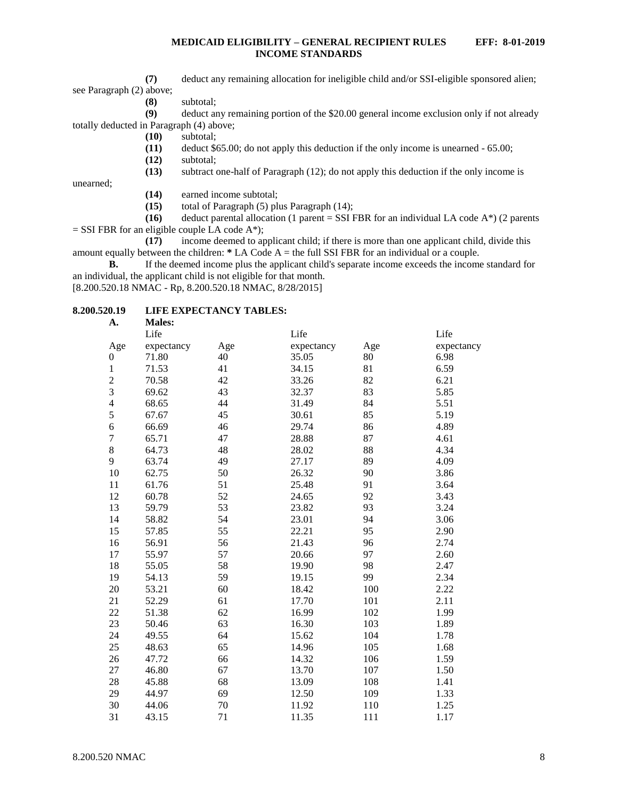**(7)** deduct any remaining allocation for ineligible child and/or SSI-eligible sponsored alien; see Paragraph (2) above;

**(8)** subtotal;

**(9)** deduct any remaining portion of the \$20.00 general income exclusion only if not already totally deducted in Paragraph (4) above;

- **(10)** subtotal;
- **(11)** deduct \$65.00; do not apply this deduction if the only income is unearned 65.00;
- **(12)** subtotal;

**(13)** subtract one-half of Paragraph (12); do not apply this deduction if the only income is

unearned;

- **(14)** earned income subtotal;
- **(15)** total of Paragraph (5) plus Paragraph (14);

**(16)** deduct parental allocation (1 parent = SSI FBR for an individual LA code  $A^*$ ) (2 parents  $=$  SSI FBR for an eligible couple LA code A\*);

**(17)** income deemed to applicant child; if there is more than one applicant child, divide this amount equally between the children: **\*** LA Code A = the full SSI FBR for an individual or a couple.

**B.** If the deemed income plus the applicant child's separate income exceeds the income standard for an individual, the applicant child is not eligible for that month.

[8.200.520.18 NMAC - Rp, 8.200.520.18 NMAC, 8/28/2015]

# <span id="page-8-0"></span>**8.200.520.19 LIFE EXPECTANCY TABLES:**

| Life       |                                 | Life       |                         | Life       |
|------------|---------------------------------|------------|-------------------------|------------|
| expectancy | Age                             | expectancy | Age                     | expectancy |
| 71.80      | 40                              | 35.05      | 80                      | 6.98       |
| 71.53      | 41                              | 34.15      | 81                      | 6.59       |
| 70.58      | 42                              | 33.26      | 82                      | 6.21       |
| 69.62      | 43                              | 32.37      | 83                      | 5.85       |
| 68.65      | 44                              | 31.49      | 84                      | 5.51       |
| 67.67      | 45                              | 30.61      | 85                      | 5.19       |
| 66.69      | 46                              | 29.74      | 86                      | 4.89       |
| 65.71      | 47                              | 28.88      | 87                      | 4.61       |
|            | 48                              | 28.02      | 88                      | 4.34       |
| 63.74      | 49                              | 27.17      | 89                      | 4.09       |
| 62.75      | 50                              | 26.32      | 90                      | 3.86       |
| 61.76      | 51                              | 25.48      | 91                      | 3.64       |
| 60.78      | 52                              | 24.65      | 92                      | 3.43       |
| 59.79      | 53                              | 23.82      | 93                      | 3.24       |
| 58.82      | 54                              | 23.01      | 94                      | 3.06       |
| 57.85      | 55                              | 22.21      | 95                      | 2.90       |
| 56.91      | 56                              | 21.43      | 96                      | 2.74       |
| 55.97      | 57                              | 20.66      | 97                      | 2.60       |
| 55.05      | 58                              | 19.90      | 98                      | 2.47       |
|            | 59                              |            | 99                      | 2.34       |
| 53.21      | 60                              | 18.42      | 100                     | 2.22       |
| 52.29      | 61                              | 17.70      | 101                     | 2.11       |
| 51.38      | 62                              | 16.99      | 102                     | 1.99       |
| 50.46      |                                 |            |                         | 1.89       |
| 49.55      | 64                              | 15.62      | 104                     | 1.78       |
| 48.63      | 65                              | 14.96      | 105                     | 1.68       |
| 47.72      | 66                              | 14.32      | 106                     | 1.59       |
| 46.80      | 67                              | 13.70      | 107                     | 1.50       |
| 45.88      | 68                              |            | 108                     | 1.41       |
| 44.97      | 69                              | 12.50      | 109                     | 1.33       |
| 44.06      |                                 | 11.92      |                         | 1.25       |
| 43.15      | 71                              | 11.35      | 111                     | 1.17       |
|            | <b>Males:</b><br>64.73<br>54.13 | 63<br>70   | 19.15<br>16.30<br>13.09 | 103<br>110 |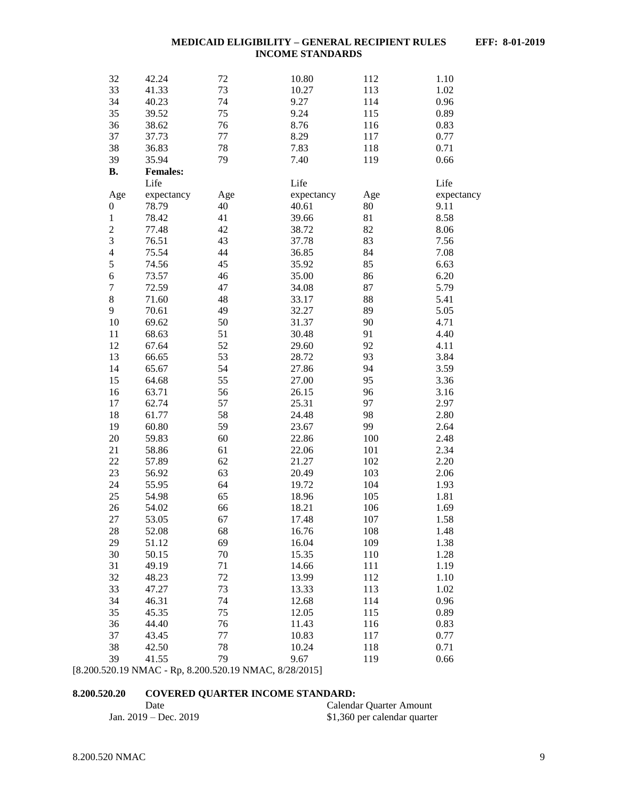| 32                      | 42.24           | 72  | 10.80      | 112 | 1.10       |
|-------------------------|-----------------|-----|------------|-----|------------|
| 33                      | 41.33           | 73  | 10.27      | 113 | 1.02       |
| 34                      | 40.23           | 74  | 9.27       | 114 | 0.96       |
| 35                      | 39.52           | 75  | 9.24       | 115 | 0.89       |
| 36                      | 38.62           | 76  | 8.76       | 116 | 0.83       |
| 37                      | 37.73           | 77  | 8.29       | 117 | 0.77       |
| 38                      | 36.83           | 78  | 7.83       | 118 | 0.71       |
| 39                      | 35.94           | 79  | 7.40       | 119 | 0.66       |
| <b>B.</b>               | <b>Females:</b> |     |            |     |            |
|                         | Life            |     | Life       |     | Life       |
| Age                     | expectancy      | Age | expectancy | Age | expectancy |
| 0                       | 78.79           | 40  | 40.61      | 80  | 9.11       |
| $\mathbf{1}$            | 78.42           | 41  | 39.66      | 81  | 8.58       |
| $\overline{c}$          | 77.48           | 42  | 38.72      | 82  | 8.06       |
| 3                       | 76.51           | 43  | 37.78      | 83  | 7.56       |
| $\overline{\mathbf{4}}$ | 75.54           | 44  | 36.85      | 84  | 7.08       |
| 5                       | 74.56           | 45  | 35.92      | 85  | 6.63       |
| 6                       | 73.57           | 46  | 35.00      | 86  | 6.20       |
| $\overline{7}$          | 72.59           | 47  | 34.08      | 87  | 5.79       |
| 8                       | 71.60           | 48  | 33.17      | 88  | 5.41       |
| 9                       | 70.61           | 49  | 32.27      | 89  | 5.05       |
| 10                      | 69.62           | 50  | 31.37      | 90  | 4.71       |
| 11                      | 68.63           | 51  | 30.48      | 91  | 4.40       |
| 12                      | 67.64           | 52  | 29.60      | 92  | 4.11       |
| 13                      | 66.65           | 53  | 28.72      | 93  | 3.84       |
| 14                      | 65.67           | 54  | 27.86      | 94  | 3.59       |
| 15                      | 64.68           | 55  | 27.00      | 95  | 3.36       |
| 16                      | 63.71           | 56  | 26.15      | 96  | 3.16       |
| 17                      | 62.74           | 57  | 25.31      | 97  | 2.97       |
| 18                      | 61.77           | 58  | 24.48      | 98  | 2.80       |
| 19                      | 60.80           | 59  | 23.67      | 99  | 2.64       |
| 20                      | 59.83           | 60  | 22.86      | 100 | 2.48       |
| 21                      | 58.86           | 61  | 22.06      | 101 | 2.34       |
| 22                      | 57.89           | 62  | 21.27      | 102 | 2.20       |
| 23                      | 56.92           | 63  | 20.49      | 103 | 2.06       |
| 24                      | 55.95           | 64  | 19.72      | 104 | 1.93       |
| 25                      | 54.98           | 65  | 18.96      | 105 | 1.81       |
| 26                      | 54.02           | 66  | 18.21      | 106 | 1.69       |
| 27                      | 53.05           | 67  | 17.48      | 107 | 1.58       |
| 28                      | 52.08           | 68  | 16.76      | 108 | 1.48       |
| 29                      | 51.12           | 69  | 16.04      | 109 | 1.38       |
| 30                      | 50.15           | 70  | 15.35      | 110 | 1.28       |
| 31                      | 49.19           | 71  | 14.66      | 111 | 1.19       |
| 32                      | 48.23           | 72  | 13.99      | 112 | 1.10       |
| 33                      | 47.27           | 73  | 13.33      | 113 | 1.02       |
| 34                      | 46.31           | 74  | 12.68      | 114 | 0.96       |
| 35                      | 45.35           | 75  | 12.05      | 115 | 0.89       |
| 36                      | 44.40           | 76  | 11.43      | 116 | 0.83       |
| 37                      | 43.45           | 77  | 10.83      | 117 | 0.77       |
| 38                      | 42.50           | 78  | 10.24      | 118 | 0.71       |
| 39                      | 41.55           | 79  | 9.67       | 119 | 0.66       |
|                         |                 |     |            |     |            |

[8.200.520.19 NMAC - Rp, 8.200.520.19 NMAC, 8/28/2015]

# <span id="page-9-0"></span>**8.200.520.20 COVERED QUARTER INCOME STANDARD:**

| Date                    | Calendar Quarter Amount      |
|-------------------------|------------------------------|
| Jan. $2019 - Dec. 2019$ | \$1,360 per calendar quarter |